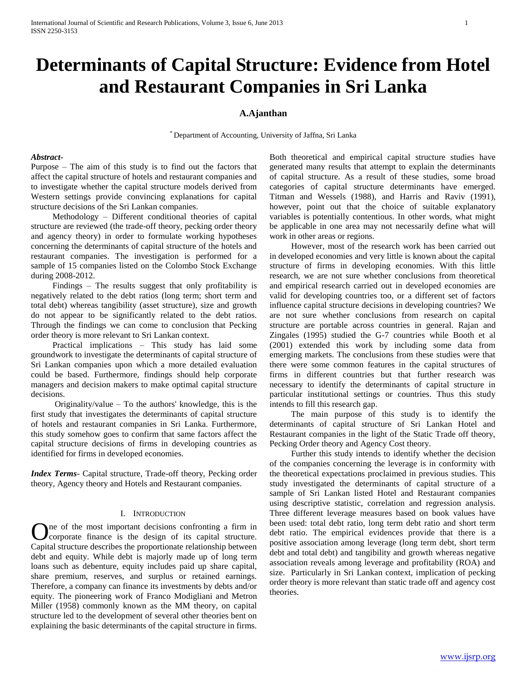# **Determinants of Capital Structure: Evidence from Hotel and Restaurant Companies in Sri Lanka**

# **A.Ajanthan**

\* Department of Accounting, University of Jaffna, Sri Lanka

#### *Abstract***-**

Purpose – The aim of this study is to find out the factors that affect the capital structure of hotels and restaurant companies and to investigate whether the capital structure models derived from Western settings provide convincing explanations for capital structure decisions of the Sri Lankan companies.

 Methodology – Different conditional theories of capital structure are reviewed (the trade-off theory, pecking order theory and agency theory) in order to formulate working hypotheses concerning the determinants of capital structure of the hotels and restaurant companies. The investigation is performed for a sample of 15 companies listed on the Colombo Stock Exchange during 2008-2012.

 Findings – The results suggest that only profitability is negatively related to the debt ratios (long term; short term and total debt) whereas tangibility (asset structure), size and growth do not appear to be significantly related to the debt ratios. Through the findings we can come to conclusion that Pecking order theory is more relevant to Sri Lankan context.

 Practical implications – This study has laid some groundwork to investigate the determinants of capital structure of Sri Lankan companies upon which a more detailed evaluation could be based. Furthermore, findings should help corporate managers and decision makers to make optimal capital structure decisions.

 Originality/value – To the authors' knowledge, this is the first study that investigates the determinants of capital structure of hotels and restaurant companies in Sri Lanka. Furthermore, this study somehow goes to confirm that same factors affect the capital structure decisions of firms in developing countries as identified for firms in developed economies.

*Index Terms*- Capital structure, Trade-off theory, Pecking order theory, Agency theory and Hotels and Restaurant companies.

#### I. INTRODUCTION

ne of the most important decisions confronting a firm in corporate finance is the design of its capital structure. Capital structure describes the proportionate relationship between debt and equity. While debt is majorly made up of long term loans such as debenture, equity includes paid up share capital, share premium, reserves, and surplus or retained earnings. Therefore, a company can finance its investments by debts and/or equity. The pioneering work of Franco Modigliani and Metron Miller (1958) commonly known as the MM theory, on capital structure led to the development of several other theories bent on explaining the basic determinants of the capital structure in firms. O

Both theoretical and empirical capital structure studies have generated many results that attempt to explain the determinants of capital structure. As a result of these studies, some broad categories of capital structure determinants have emerged. Titman and Wessels (1988), and Harris and Raviv (1991), however, point out that the choice of suitable explanatory variables is potentially contentious. In other words, what might be applicable in one area may not necessarily define what will work in other areas or regions.

 However, most of the research work has been carried out in developed economies and very little is known about the capital structure of firms in developing economies. With this little research, we are not sure whether conclusions from theoretical and empirical research carried out in developed economies are valid for developing countries too, or a different set of factors influence capital structure decisions in developing countries? We are not sure whether conclusions from research on capital structure are portable across countries in general. Rajan and Zingales (1995) studied the G-7 countries while Booth et al (2001) extended this work by including some data from emerging markets. The conclusions from these studies were that there were some common features in the capital structures of firms in different countries but that further research was necessary to identify the determinants of capital structure in particular institutional settings or countries. Thus this study intends to fill this research gap.

 The main purpose of this study is to identify the determinants of capital structure of Sri Lankan Hotel and Restaurant companies in the light of the Static Trade off theory, Pecking Order theory and Agency Cost theory.

 Further this study intends to identify whether the decision of the companies concerning the leverage is in conformity with the theoretical expectations proclaimed in previous studies. This study investigated the determinants of capital structure of a sample of Sri Lankan listed Hotel and Restaurant companies using descriptive statistic, correlation and regression analysis. Three different leverage measures based on book values have been used: total debt ratio, long term debt ratio and short term debt ratio. The empirical evidences provide that there is a positive association among leverage (long term debt, short term debt and total debt) and tangibility and growth whereas negative association reveals among leverage and profitability (ROA) and size. Particularly in Sri Lankan context, implication of pecking order theory is more relevant than static trade off and agency cost theories.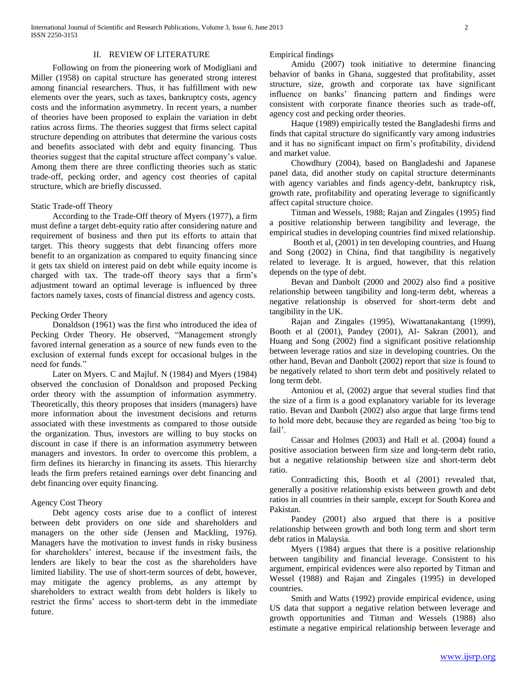#### II. REVIEW OF LITERATURE

 Following on from the pioneering work of Modigliani and Miller (1958) on capital structure has generated strong interest among financial researchers. Thus, it has fulfillment with new elements over the years, such as taxes, bankruptcy costs, agency costs and the information asymmetry. In recent years, a number of theories have been proposed to explain the variation in debt ratios across firms. The theories suggest that firms select capital structure depending on attributes that determine the various costs and benefits associated with debt and equity financing. Thus theories suggest that the capital structure affect company's value. Among them there are three conflicting theories such as static trade-off, pecking order, and agency cost theories of capital structure, which are briefly discussed.

#### Static Trade-off Theory

 According to the Trade-Off theory of Myers (1977), a firm must define a target debt-equity ratio after considering nature and requirement of business and then put its efforts to attain that target. This theory suggests that debt financing offers more benefit to an organization as compared to equity financing since it gets tax shield on interest paid on debt while equity income is charged with tax. The trade-off theory says that a firm's adjustment toward an optimal leverage is influenced by three factors namely taxes, costs of financial distress and agency costs.

#### Pecking Order Theory

 Donaldson (1961) was the first who introduced the idea of Pecking Order Theory. He observed, "Management strongly favored internal generation as a source of new funds even to the exclusion of external funds except for occasional bulges in the need for funds."

 Later on Myers. C and Majluf. N (1984) and Myers (1984) observed the conclusion of Donaldson and proposed Pecking order theory with the assumption of information asymmetry. Theoretically, this theory proposes that insiders (managers) have more information about the investment decisions and returns associated with these investments as compared to those outside the organization. Thus, investors are willing to buy stocks on discount in case if there is an information asymmetry between managers and investors. In order to overcome this problem, a firm defines its hierarchy in financing its assets. This hierarchy leads the firm prefers retained earnings over debt financing and debt financing over equity financing.

#### Agency Cost Theory

 Debt agency costs arise due to a conflict of interest between debt providers on one side and shareholders and managers on the other side (Jensen and Mackling, 1976). Managers have the motivation to invest funds in risky business for shareholders' interest, because if the investment fails, the lenders are likely to bear the cost as the shareholders have limited liability. The use of short-term sources of debt, however, may mitigate the agency problems, as any attempt by shareholders to extract wealth from debt holders is likely to restrict the firms' access to short-term debt in the immediate future.

Empirical findings

 Amidu (2007) took initiative to determine financing behavior of banks in Ghana, suggested that profitability, asset structure, size, growth and corporate tax have significant influence on banks' financing pattern and findings were consistent with corporate finance theories such as trade-off, agency cost and pecking order theories.

 Haque (1989) empirically tested the Bangladeshi firms and finds that capital structure do significantly vary among industries and it has no significant impact on firm's profitability, dividend and market value.

 Chowdhury (2004), based on Bangladeshi and Japanese panel data, did another study on capital structure determinants with agency variables and finds agency-debt, bankruptcy risk, growth rate, profitability and operating leverage to significantly affect capital structure choice.

 Titman and Wessels, 1988; Rajan and Zingales (1995) find a positive relationship between tangibility and leverage, the empirical studies in developing countries find mixed relationship.

 Booth et al, (2001) in ten developing countries, and Huang and Song (2002) in China, find that tangibility is negatively related to leverage. It is argued, however, that this relation depends on the type of debt.

 Bevan and Danbolt (2000 and 2002) also find a positive relationship between tangibility and long-term debt, whereas a negative relationship is observed for short-term debt and tangibility in the UK.

 Rajan and Zingales (1995), Wiwattanakantang (1999), Booth et al (2001), Pandey (2001), Al- Sakran (2001), and Huang and Song (2002) find a significant positive relationship between leverage ratios and size in developing countries. On the other hand, Bevan and Danbolt (2002) report that size is found to be negatively related to short term debt and positively related to long term debt.

 Antoniou et al, (2002) argue that several studies find that the size of a firm is a good explanatory variable for its leverage ratio. Bevan and Danbolt (2002) also argue that large firms tend to hold more debt, because they are regarded as being 'too big to fail'.

 Cassar and Holmes (2003) and Hall et al. (2004) found a positive association between firm size and long-term debt ratio, but a negative relationship between size and short-term debt ratio.

 Contradicting this, Booth et al (2001) revealed that, generally a positive relationship exists between growth and debt ratios in all countries in their sample, except for South Korea and Pakistan.

 Pandey (2001) also argued that there is a positive relationship between growth and both long term and short term debt ratios in Malaysia.

 Myers (1984) argues that there is a positive relationship between tangibility and financial leverage. Consistent to his argument, empirical evidences were also reported by Titman and Wessel (1988) and Rajan and Zingales (1995) in developed countries.

 Smith and Watts (1992) provide empirical evidence, using US data that support a negative relation between leverage and growth opportunities and Titman and Wessels (1988) also estimate a negative empirical relationship between leverage and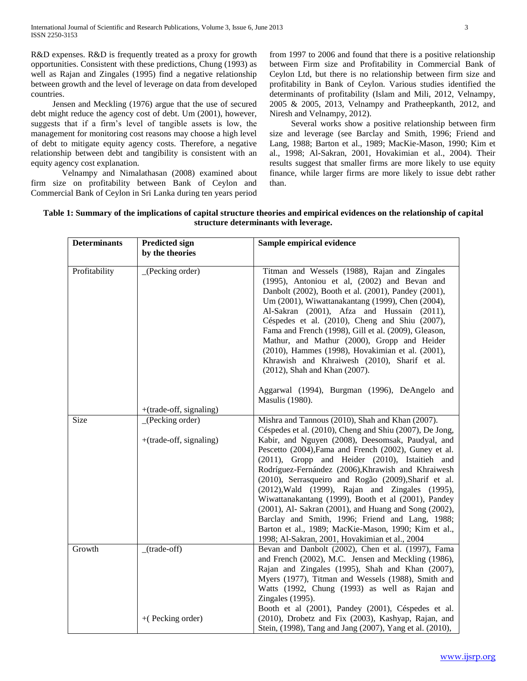R&D expenses. R&D is frequently treated as a proxy for growth opportunities. Consistent with these predictions, Chung (1993) as well as Rajan and Zingales (1995) find a negative relationship between growth and the level of leverage on data from developed countries.

 Jensen and Meckling (1976) argue that the use of secured debt might reduce the agency cost of debt. Um (2001), however, suggests that if a firm's level of tangible assets is low, the management for monitoring cost reasons may choose a high level of debt to mitigate equity agency costs. Therefore, a negative relationship between debt and tangibility is consistent with an equity agency cost explanation.

Velnampy and Nimalathasan (2008) examined about firm size on profitability between Bank of Ceylon and Commercial Bank of Ceylon in Sri Lanka during ten years period

from 1997 to 2006 and found that there is a positive relationship between Firm size and Profitability in Commercial Bank of Ceylon Ltd, but there is no relationship between firm size and profitability in Bank of Ceylon. Various studies identified the determinants of profitability (Islam and Mili, 2012, Velnampy, 2005 & 2005, 2013, Velnampy and Pratheepkanth, 2012, and Niresh and Velnampy, 2012).

 Several works show a positive relationship between firm size and leverage (see Barclay and Smith, 1996; Friend and Lang, 1988; Barton et al., 1989; MacKie-Mason, 1990; Kim et al., 1998; Al-Sakran, 2001, Hovakimian et al., 2004). Their results suggest that smaller firms are more likely to use equity finance, while larger firms are more likely to issue debt rather than.

| Table 1: Summary of the implications of capital structure theories and empirical evidences on the relationship of capital |  |
|---------------------------------------------------------------------------------------------------------------------------|--|
| structure determinants with leverage.                                                                                     |  |

| <b>Determinants</b> | <b>Predicted sign</b>                        | Sample empirical evidence                                                                                                                                                                                                                                                                                                                                                                                                                                                                                                                                                                                                                                                                                                 |  |
|---------------------|----------------------------------------------|---------------------------------------------------------------------------------------------------------------------------------------------------------------------------------------------------------------------------------------------------------------------------------------------------------------------------------------------------------------------------------------------------------------------------------------------------------------------------------------------------------------------------------------------------------------------------------------------------------------------------------------------------------------------------------------------------------------------------|--|
|                     | by the theories                              |                                                                                                                                                                                                                                                                                                                                                                                                                                                                                                                                                                                                                                                                                                                           |  |
| Profitability       | (Pecking order)                              | Titman and Wessels (1988), Rajan and Zingales<br>(1995), Antoniou et al, (2002) and Bevan and<br>Danbolt (2002), Booth et al. (2001), Pandey (2001),<br>Um (2001), Wiwattanakantang (1999), Chen (2004),<br>Al-Sakran (2001), Afza and Hussain (2011),<br>Céspedes et al. (2010), Cheng and Shiu (2007),<br>Fama and French (1998), Gill et al. (2009), Gleason,<br>Mathur, and Mathur (2000), Gropp and Heider<br>(2010), Hammes (1998), Hovakimian et al. (2001),<br>Khrawish and Khraiwesh (2010), Sharif et al.<br>(2012), Shah and Khan (2007).<br>Aggarwal (1994), Burgman (1996), DeAngelo and                                                                                                                     |  |
|                     | $+(trade-off, signaling)$                    | Masulis (1980).                                                                                                                                                                                                                                                                                                                                                                                                                                                                                                                                                                                                                                                                                                           |  |
| Size                | (Pecking order)<br>$+(trade-off, signaling)$ | Mishra and Tannous (2010), Shah and Khan (2007).<br>Céspedes et al. (2010), Cheng and Shiu (2007), De Jong,<br>Kabir, and Nguyen (2008), Deesomsak, Paudyal, and<br>Pescetto (2004), Fama and French (2002), Guney et al.<br>(2011), Gropp and Heider (2010), Istaitieh and<br>Rodríguez-Fernández (2006), Khrawish and Khraiwesh<br>(2010), Serrasqueiro and Rogão (2009), Sharif et al.<br>(2012), Wald (1999), Rajan and Zingales (1995),<br>Wiwattanakantang (1999), Booth et al (2001), Pandey<br>(2001), Al- Sakran (2001), and Huang and Song (2002),<br>Barclay and Smith, 1996; Friend and Lang, 1988;<br>Barton et al., 1989; MacKie-Mason, 1990; Kim et al.,<br>1998; Al-Sakran, 2001, Hovakimian et al., 2004 |  |
| Growth              | $(trade-off)$<br>$+($ Pecking order)         | Bevan and Danbolt (2002), Chen et al. (1997), Fama<br>and French (2002), M.C. Jensen and Meckling (1986),<br>Rajan and Zingales (1995), Shah and Khan (2007),<br>Myers (1977), Titman and Wessels (1988), Smith and<br>Watts (1992, Chung (1993) as well as Rajan and<br>Zingales (1995).<br>Booth et al (2001), Pandey (2001), Céspedes et al.<br>(2010), Drobetz and Fix (2003), Kashyap, Rajan, and<br>Stein, (1998), Tang and Jang (2007), Yang et al. (2010),                                                                                                                                                                                                                                                        |  |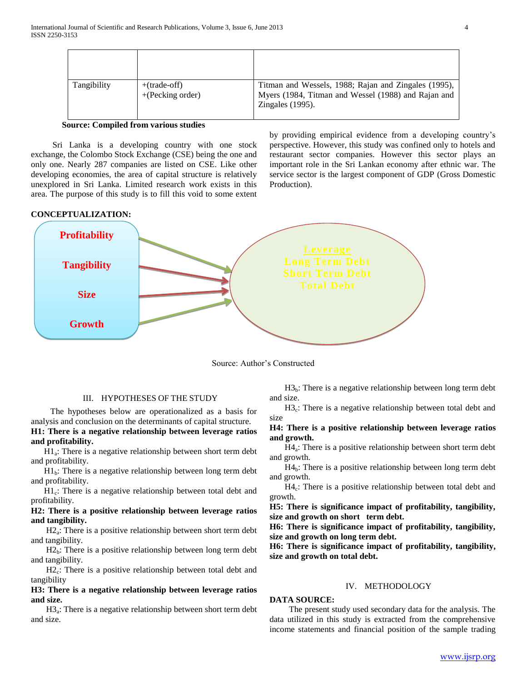| Tangibility | $+(trade-off)$<br>$+(Pecking order)$ | Titman and Wessels, 1988; Rajan and Zingales (1995),<br>Myers (1984, Titman and Wessel (1988) and Rajan and<br>Zingales $(1995)$ . |
|-------------|--------------------------------------|------------------------------------------------------------------------------------------------------------------------------------|

#### **Source: Compiled from various studies**

 Sri Lanka is a developing country with one stock exchange, the Colombo Stock Exchange (CSE) being the one and only one. Nearly 287 companies are listed on CSE. Like other developing economies, the area of capital structure is relatively unexplored in Sri Lanka. Limited research work exists in this area. The purpose of this study is to fill this void to some extent by providing empirical evidence from a developing country's perspective. However, this study was confined only to hotels and restaurant sector companies. However this sector plays an important role in the Sri Lankan economy after ethnic war. The service sector is the largest component of GDP (Gross Domestic Production).

#### **CONCEPTUALIZATION:**



Source: Author's Constructed

## III. HYPOTHESES OF THE STUDY

 The hypotheses below are operationalized as a basis for analysis and conclusion on the determinants of capital structure. **H1: There is a negative relationship between leverage ratios and profitability.** 

 H1<sup>a</sup> : There is a negative relationship between short term debt and profitability.

 $H1<sub>b</sub>$ : There is a negative relationship between long term debt and profitability.

H1<sub>c</sub>: There is a negative relationship between total debt and profitability.

## **H2: There is a positive relationship between leverage ratios and tangibility.**

H2<sub>a</sub>: There is a positive relationship between short term debt and tangibility.

 $H2<sub>b</sub>$ : There is a positive relationship between long term debt and tangibility.

 H2<sup>c</sup> : There is a positive relationship between total debt and tangibility

## **H3: There is a negative relationship between leverage ratios and size.**

 H3<sup>a</sup> : There is a negative relationship between short term debt and size.

 $H3<sub>b</sub>$ : There is a negative relationship between long term debt and size.

 $H3_c$ : There is a negative relationship between total debt and size

### **H4: There is a positive relationship between leverage ratios and growth.**

 H4<sup>a</sup> : There is a positive relationship between short term debt and growth.

 $H4<sub>b</sub>$ : There is a positive relationship between long term debt and growth.

H4<sub>c</sub>: There is a positive relationship between total debt and growth.

**H5: There is significance impact of profitability, tangibility, size and growth on short term debt.**

**H6: There is significance impact of profitability, tangibility, size and growth on long term debt.**

**H6: There is significance impact of profitability, tangibility, size and growth on total debt.**

### IV. METHODOLOGY

#### **DATA SOURCE:**

 The present study used secondary data for the analysis. The data utilized in this study is extracted from the comprehensive income statements and financial position of the sample trading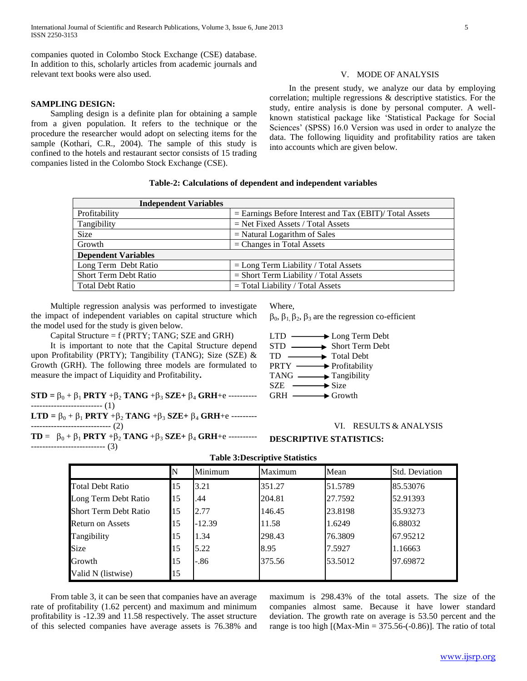companies quoted in Colombo Stock Exchange (CSE) database. In addition to this, scholarly articles from academic journals and relevant text books were also used.

#### **SAMPLING DESIGN:**

 Sampling design is a definite plan for obtaining a sample from a given population. It refers to the technique or the procedure the researcher would adopt on selecting items for the sample (Kothari, C.R., 2004). The sample of this study is confined to the hotels and restaurant sector consists of 15 trading companies listed in the Colombo Stock Exchange (CSE).

#### V. MODE OF ANALYSIS

 In the present study, we analyze our data by employing correlation; multiple regressions & descriptive statistics. For the study, entire analysis is done by personal computer. A wellknown statistical package like 'Statistical Package for Social Sciences' (SPSS) 16.0 Version was used in order to analyze the data. The following liquidity and profitability ratios are taken into accounts which are given below.

# **Table-2: Calculations of dependent and independent variables**

| <b>Independent Variables</b> |                                                           |  |  |  |
|------------------------------|-----------------------------------------------------------|--|--|--|
| Profitability                | $=$ Earnings Before Interest and Tax (EBIT)/ Total Assets |  |  |  |
| Tangibility                  | $=$ Net Fixed Assets / Total Assets                       |  |  |  |
| <b>Size</b>                  | $=$ Natural Logarithm of Sales                            |  |  |  |
| Growth                       | $=$ Changes in Total Assets                               |  |  |  |
| <b>Dependent Variables</b>   |                                                           |  |  |  |
| Long Term Debt Ratio         | $=$ Long Term Liability / Total Assets                    |  |  |  |
| <b>Short Term Debt Ratio</b> | $=$ Short Term Liability / Total Assets                   |  |  |  |
| <b>Total Debt Ratio</b>      | $=$ Total Liability / Total Assets                        |  |  |  |

 Multiple regression analysis was performed to investigate the impact of independent variables on capital structure which the model used for the study is given below.

Capital Structure = f (PRTY; TANG; SZE and GRH)

 It is important to note that the Capital Structure depend upon Profitability (PRTY); Tangibility (TANG); Size (SZE) & Growth (GRH). The following three models are formulated to measure the impact of Liquidity and Profitability**.**

**STD** =  $\beta_0 + \beta_1$  **PRTY** + $\beta_2$  **TANG** + $\beta_3$  **SZE**+  $\beta_4$  **GRH**+e ----------------------------------- (1)

**LTD** =  $\beta_0 + \beta_1$  **PRTY**  $+\beta_2$  **TANG**  $+\beta_3$  **SZE**+  $\beta_4$  **GRH**+e ------------------------------------- (2)

**TD** =  $\beta_0 + \beta_1$  **PRTY**  $+\beta_2$  **TANG**  $+\beta_3$  **SZE**+  $\beta_4$  **GRH**+e ------------------------------------ (3)

Where,

 $\beta_0$ ,  $\beta_1$ ,  $\beta_2$ ,  $\beta_3$  are the regression co-efficient

| → Long Term Debt<br><b>LTD</b>       |
|--------------------------------------|
| STD — Short Term Debt                |
| Total Debt<br>TD                     |
| $PRTY \longrightarrow$ Profitability |
| $TANG \longrightarrow$ Tangibility   |
| $\longrightarrow$ Size<br>SZE.       |
| $GRH \longrightarrow Growth$         |

#### VI. RESULTS & ANALYSIS

# **DESCRIPTIVE STATISTICS:**

|                              |    | Minimum  | Maximum | Mean    | <b>Std. Deviation</b> |
|------------------------------|----|----------|---------|---------|-----------------------|
| <b>Total Debt Ratio</b>      | 15 | 3.21     | 351.27  | 51.5789 | 85.53076              |
| Long Term Debt Ratio         | 15 | .44      | 204.81  | 27.7592 | 52.91393              |
| <b>Short Term Debt Ratio</b> | 15 | 2.77     | 146.45  | 23.8198 | 35.93273              |
| <b>Return on Assets</b>      | 15 | $-12.39$ | 11.58   | 1.6249  | 6.88032               |
| Tangibility                  | 15 | 1.34     | 298.43  | 76.3809 | 67.95212              |
| Size                         | 15 | 5.22     | 8.95    | 7.5927  | 1.16663               |
| Growth                       | 15 | $-.86$   | 375.56  | 53.5012 | 97.69872              |
| Valid N (listwise)           | 15 |          |         |         |                       |

**Table 3:Descriptive Statistics**

 From table 3, it can be seen that companies have an average rate of profitability (1.62 percent) and maximum and minimum profitability is -12.39 and 11.58 respectively. The asset structure of this selected companies have average assets is 76.38% and

maximum is 298.43% of the total assets. The size of the companies almost same. Because it have lower standard deviation. The growth rate on average is 53.50 percent and the range is too high  $[(Max-Min = 375.56-(-0.86)]$ . The ratio of total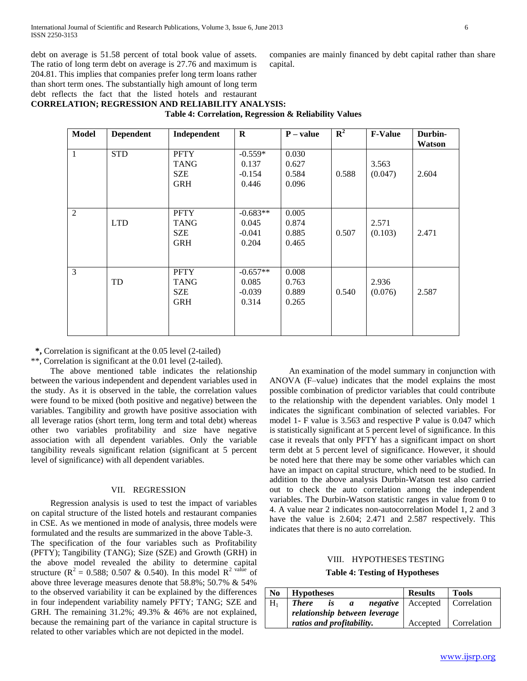debt on average is 51.58 percent of total book value of assets. The ratio of long term debt on average is 27.76 and maximum is 204.81. This implies that companies prefer long term loans rather than short term ones. The substantially high amount of long term debt reflects the fact that the listed hotels and restaurant

companies are mainly financed by debt capital rather than share capital.

# **CORRELATION; REGRESSION AND RELIABILITY ANALYSIS:**

**Table 4: Correlation, Regression & Reliability Values**

| <b>Model</b>   | <b>Dependent</b> | Independent                                            | $\bf{R}$                                 | $P - value$                      | $\mathbf{R}^2$ | <b>F-Value</b>   | Durbin-<br>Watson |
|----------------|------------------|--------------------------------------------------------|------------------------------------------|----------------------------------|----------------|------------------|-------------------|
| $\mathbf{1}$   | <b>STD</b>       | <b>PFTY</b><br><b>TANG</b><br><b>SZE</b><br><b>GRH</b> | $-0.559*$<br>0.137<br>$-0.154$<br>0.446  | 0.030<br>0.627<br>0.584<br>0.096 | 0.588          | 3.563<br>(0.047) | 2.604             |
| $\overline{2}$ | <b>LTD</b>       | <b>PFTY</b><br><b>TANG</b><br><b>SZE</b><br><b>GRH</b> | $-0.683**$<br>0.045<br>$-0.041$<br>0.204 | 0.005<br>0.874<br>0.885<br>0.465 | 0.507          | 2.571<br>(0.103) | 2.471             |
| 3              | TD               | <b>PFTY</b><br><b>TANG</b><br><b>SZE</b><br><b>GRH</b> | $-0.657**$<br>0.085<br>$-0.039$<br>0.314 | 0.008<br>0.763<br>0.889<br>0.265 | 0.540          | 2.936<br>(0.076) | 2.587             |

 **\*,** Correlation is significant at the 0.05 level (2-tailed)

\*\*, Correlation is significant at the 0.01 level (2-tailed).

 The above mentioned table indicates the relationship between the various independent and dependent variables used in the study. As it is observed in the table, the correlation values were found to be mixed (both positive and negative) between the variables. Tangibility and growth have positive association with all leverage ratios (short term, long term and total debt) whereas other two variables profitability and size have negative association with all dependent variables. Only the variable tangibility reveals significant relation (significant at 5 percent level of significance) with all dependent variables.

### VII. REGRESSION

 Regression analysis is used to test the impact of variables on capital structure of the listed hotels and restaurant companies in CSE. As we mentioned in mode of analysis, three models were formulated and the results are summarized in the above Table-3. The specification of the four variables such as Profitability (PFTY); Tangibility (TANG); Size (SZE) and Growth (GRH) in the above model revealed the ability to determine capital structure ( $R^2 = 0.588$ ; 0.507 & 0.540). In this model  $R^2$  value of above three leverage measures denote that 58.8%; 50.7% & 54% to the observed variability it can be explained by the differences in four independent variability namely PFTY; TANG; SZE and GRH. The remaining 31.2%; 49.3% & 46% are not explained, because the remaining part of the variance in capital structure is related to other variables which are not depicted in the model.

 An examination of the model summary in conjunction with ANOVA (F–value) indicates that the model explains the most possible combination of predictor variables that could contribute to the relationship with the dependent variables. Only model 1 indicates the significant combination of selected variables. For model 1- F value is 3.563 and respective P value is 0.047 which is statistically significant at 5 percent level of significance. In this case it reveals that only PFTY has a significant impact on short term debt at 5 percent level of significance. However, it should be noted here that there may be some other variables which can have an impact on capital structure, which need to be studied. In addition to the above analysis Durbin-Watson test also carried out to check the auto correlation among the independent variables. The Durbin-Watson statistic ranges in value from 0 to 4. A value near 2 indicates non-autocorrelation Model 1, 2 and 3 have the value is 2.604; 2.471 and 2.587 respectively. This indicates that there is no auto correlation.

#### VIII. HYPOTHESES TESTING

**Table 4: Testing of Hypotheses**

| N <sub>0</sub> | Hypotheses                           | <b>Results</b> | Tools                                    |
|----------------|--------------------------------------|----------------|------------------------------------------|
| $H_1$          | <b>There</b><br>is<br>$\mathfrak{a}$ |                | <i>negative</i>   Accepted   Correlation |
|                | relationship between leverage        |                |                                          |
|                | ratios and profitability.            |                | Accepted   Correlation                   |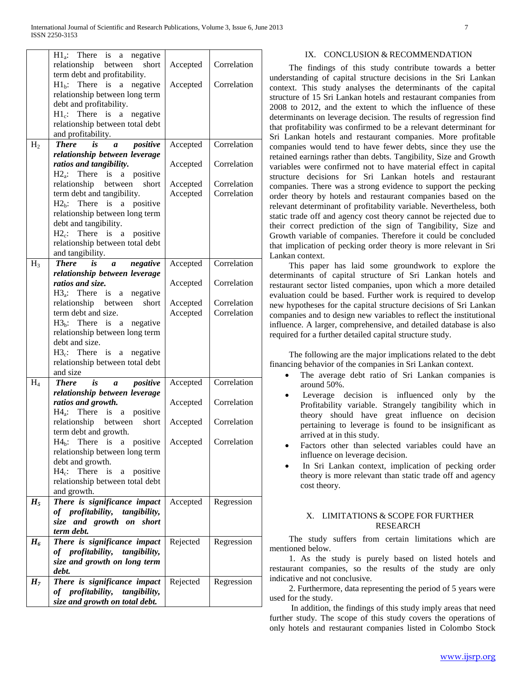|                | $H1_a$ :<br>There is<br>negative<br>a              |          |             |
|----------------|----------------------------------------------------|----------|-------------|
|                | relationship between<br>short                      | Accepted | Correlation |
|                | term debt and profitability.                       |          |             |
|                | There is a<br>negative<br>$H1_h$ :                 | Accepted | Correlation |
|                | relationship between long term                     |          |             |
|                | debt and profitability.                            |          |             |
|                | $H1_c$ : There is a negative                       |          |             |
|                | relationship between total debt                    |          |             |
|                | and profitability.                                 |          |             |
| H <sub>2</sub> | <b>There</b><br>is<br>positive<br>$\boldsymbol{a}$ | Accepted | Correlation |
|                | relationship between leverage                      |          |             |
|                | ratios and tangibility.                            | Accepted | Correlation |
|                | $H2_a$ : There is a positive                       |          |             |
|                | relationship between<br>short                      |          | Correlation |
|                |                                                    | Accepted |             |
|                | term debt and tangibility.                         | Accepted | Correlation |
|                | $H2_h$ : There is a positive                       |          |             |
|                | relationship between long term                     |          |             |
|                | debt and tangibility.                              |          |             |
|                | $H2c$ : There is a positive                        |          |             |
|                | relationship between total debt                    |          |             |
|                | and tangibility.                                   |          |             |
| $H_3$          | <b>There</b><br>negative<br>is<br>a                | Accepted | Correlation |
|                | relationship between leverage                      |          |             |
|                | ratios and size.                                   | Accepted | Correlation |
|                | $H3_a$ : There is a negative                       |          |             |
|                | relationship between<br>short                      | Accepted | Correlation |
|                | term debt and size.                                | Accepted | Correlation |
|                | $H3b$ : There is a<br>negative                     |          |             |
|                | relationship between long term                     |          |             |
|                | debt and size.                                     |          |             |
|                | $H3_c$ : There is a negative                       |          |             |
|                | relationship between total debt                    |          |             |
|                | and size                                           |          |             |
| $H_4$          | is<br>positive<br><b>There</b><br>$\boldsymbol{a}$ | Accepted | Correlation |
|                | relationship between leverage                      |          |             |
|                | ratios and growth.                                 | Accepted | Correlation |
|                | $H4_a$ : There is a positive                       |          |             |
|                | relationship between<br>short                      | Accepted | Correlation |
|                | term debt and growth.                              |          |             |
|                | $H4_h$ :<br>There<br>is<br>positive<br>$\rm{a}$    | Accepted | Correlation |
|                | relationship between long term                     |          |             |
|                | debt and growth.                                   |          |             |
|                | $H4_c$ :<br>There<br>is<br>positive<br>a           |          |             |
|                | relationship between total debt                    |          |             |
|                | and growth.                                        |          |             |
| $H_5$          | There is significance impact                       | Accepted | Regression  |
|                | of profitability, tangibility,                     |          |             |
|                | size and growth on short                           |          |             |
|                | term debt.                                         |          |             |
| $H_6$          | There is significance impact                       | Rejected | Regression  |
|                | of profitability, tangibility,                     |          |             |
|                | size and growth on long term                       |          |             |
|                | debt.                                              |          |             |
| H <sub>7</sub> | There is significance impact                       | Rejected | Regression  |
|                | of profitability,<br>tangibility,                  |          |             |
|                | size and growth on total debt.                     |          |             |
|                |                                                    |          |             |

#### IX. CONCLUSION & RECOMMENDATION

 The findings of this study contribute towards a better understanding of capital structure decisions in the Sri Lankan context. This study analyses the determinants of the capital structure of 15 Sri Lankan hotels and restaurant companies from 2008 to 2012, and the extent to which the influence of these determinants on leverage decision. The results of regression find that profitability was confirmed to be a relevant determinant for Sri Lankan hotels and restaurant companies. More profitable companies would tend to have fewer debts, since they use the retained earnings rather than debts. Tangibility, Size and Growth variables were confirmed not to have material effect in capital structure decisions for Sri Lankan hotels and restaurant companies. There was a strong evidence to support the pecking order theory by hotels and restaurant companies based on the relevant determinant of profitability variable. Nevertheless, both static trade off and agency cost theory cannot be rejected due to their correct prediction of the sign of Tangibility, Size and Growth variable of companies. Therefore it could be concluded that implication of pecking order theory is more relevant in Sri Lankan context.

 This paper has laid some groundwork to explore the determinants of capital structure of Sri Lankan hotels and restaurant sector listed companies, upon which a more detailed evaluation could be based. Further work is required to develop new hypotheses for the capital structure decisions of Sri Lankan companies and to design new variables to reflect the institutional influence. A larger, comprehensive, and detailed database is also required for a further detailed capital structure study.

 The following are the major implications related to the debt financing behavior of the companies in Sri Lankan context.

- The average debt ratio of Sri Lankan companies is around 50%.
- Leverage decision is influenced only by the Profitability variable. Strangely tangibility which in theory should have great influence on decision pertaining to leverage is found to be insignificant as arrived at in this study.
- Factors other than selected variables could have an influence on leverage decision.
- In Sri Lankan context, implication of pecking order theory is more relevant than static trade off and agency cost theory.

## X. LIMITATIONS & SCOPE FOR FURTHER RESEARCH

 The study suffers from certain limitations which are mentioned below.

 1. As the study is purely based on listed hotels and restaurant companies, so the results of the study are only indicative and not conclusive.

 2. Furthermore, data representing the period of 5 years were used for the study.

 In addition, the findings of this study imply areas that need further study. The scope of this study covers the operations of only hotels and restaurant companies listed in Colombo Stock